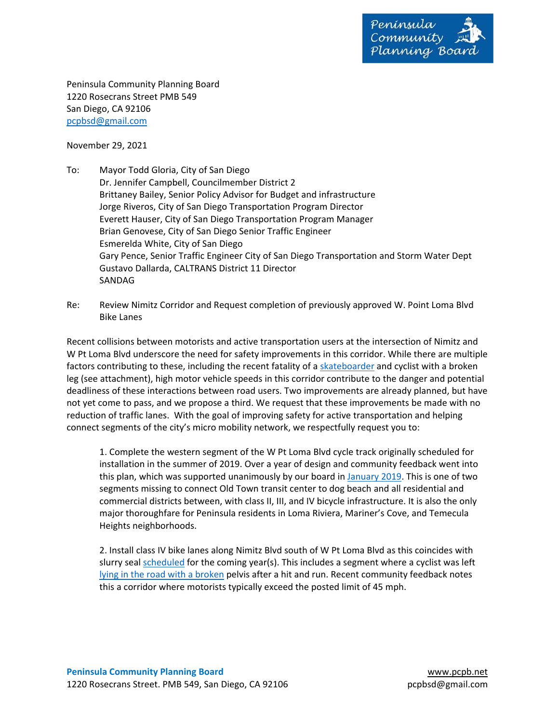

Peninsula Community Planning Board 1220 Rosecrans Street PMB 549 San Diego, CA 92106 pcpbsd@gmail.com

November 29, 2021

- To: Mayor Todd Gloria, City of San Diego Dr. Jennifer Campbell, Councilmember District 2 Brittaney Bailey, Senior Policy Advisor for Budget and infrastructure Jorge Riveros, City of San Diego Transportation Program Director Everett Hauser, City of San Diego Transportation Program Manager Brian Genovese, City of San Diego Senior Traffic Engineer Esmerelda White, City of San Diego Gary Pence, Senior Traffic Engineer City of San Diego Transportation and Storm Water Dept Gustavo Dallarda, CALTRANS District 11 Director SANDAG
- Re: Review Nimitz Corridor and Request completion of previously approved W. Point Loma Blvd Bike Lanes

Recent collisions between motorists and active transportation users at the intersection of Nimitz and W Pt Loma Blvd underscore the need for safety improvements in this corridor. While there are multiple factors contributing to these, including the recent fatality of a skateboarder and cyclist with a broken leg (see attachment), high motor vehicle speeds in this corridor contribute to the danger and potential deadliness of these interactions between road users. Two improvements are already planned, but have not yet come to pass, and we propose a third. We request that these improvements be made with no reduction of traffic lanes. With the goal of improving safety for active transportation and helping connect segments of the city's micro mobility network, we respectfully request you to:

1. Complete the western segment of the W Pt Loma Blvd cycle track originally scheduled for installation in the summer of 2019. Over a year of design and community feedback went into this plan, which was supported unanimously by our board in January 2019. This is one of two segments missing to connect Old Town transit center to dog beach and all residential and commercial districts between, with class II, III, and IV bicycle infrastructure. It is also the only major thoroughfare for Peninsula residents in Loma Riviera, Mariner's Cove, and Temecula Heights neighborhoods.

2. Install class IV bike lanes along Nimitz Blvd south of W Pt Loma Blvd as this coincides with slurry seal scheduled for the coming year(s). This includes a segment where a cyclist was left lying in the road with a broken pelvis after a hit and run. Recent community feedback notes this a corridor where motorists typically exceed the posted limit of 45 mph.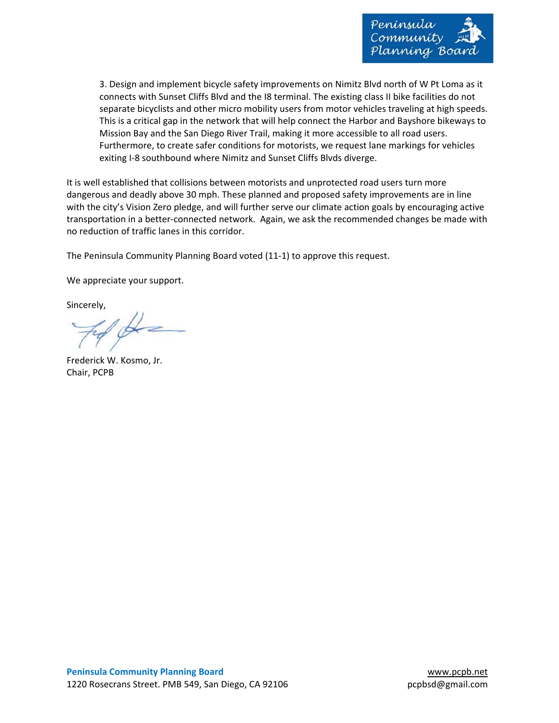

3. Design and implement bicycle safety improvements on Nimitz Blvd north of W Pt Loma as it connects with Sunset Cliffs Blvd and the I8 terminal. The existing class II bike facilities do not separate bicyclists and other micro mobility users from motor vehicles traveling at high speeds. This is a critical gap in the network that will help connect the Harbor and Bayshore bikeways to Mission Bay and the San Diego River Trail, making it more accessible to all road users. Furthermore, to create safer conditions for motorists, we request lane markings for vehicles exiting I-8 southbound where Nimitz and Sunset Cliffs Blvds diverge.

It is well established that collisions between motorists and unprotected road users turn more dangerous and deadly above 30 mph. These planned and proposed safety improvements are in line with the city's Vision Zero pledge, and will further serve our climate action goals by encouraging active transportation in a better‐connected network. Again, we ask the recommended changes be made with no reduction of traffic lanes in this corridor.

The Peninsula Community Planning Board voted (11‐1) to approve this request.

We appreciate your support.

Sincerely,

Frederick W. Kosmo, Jr. Chair, PCPB